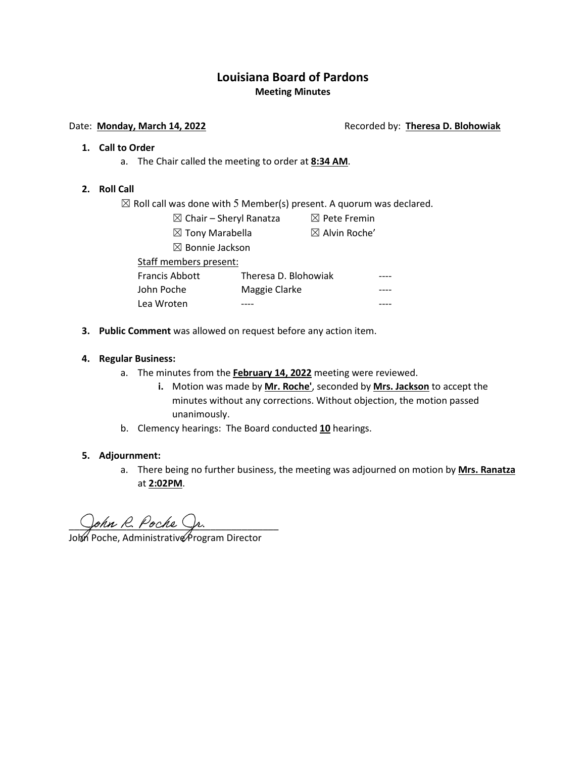# **Louisiana Board of Pardons Meeting Minutes**

#### Date: **Monday, March 14, 2022 Recorded by: Theresa D. Blohowiak**

#### **1. Call to Order**

a. The Chair called the meeting to order at **8:34 AM**.

#### **2. Roll Call**

 $\boxtimes$  Roll call was done with 5 Member(s) present. A quorum was declared.

- $\boxtimes$  Chair Sheryl Ranatza  $\boxtimes$  Pete Fremin  $\boxtimes$  Tony Marabella  $\boxtimes$  Alvin Roche'
	-
- - ☒ Bonnie Jackson

Staff members present:

| <b>Francis Abbott</b> | Theresa D. Blohowiak | ---- |
|-----------------------|----------------------|------|
| John Poche            | Maggie Clarke        |      |
| Lea Wroten            |                      |      |

**3. Public Comment** was allowed on request before any action item.

### **4. Regular Business:**

- a. The minutes from the **February 14, 2022** meeting were reviewed.
	- **i.** Motion was made by **Mr. Roche'**, seconded by **Mrs. Jackson** to accept the minutes without any corrections. Without objection, the motion passed unanimously.
- b. Clemency hearings: The Board conducted **10** hearings.

#### **5. Adjournment:**

a. There being no further business, the meeting was adjourned on motion by **Mrs. Ranatza** at **2:02PM**.

John R. Poche Sp.

Joh∕n Poche, Administrative∕Program Director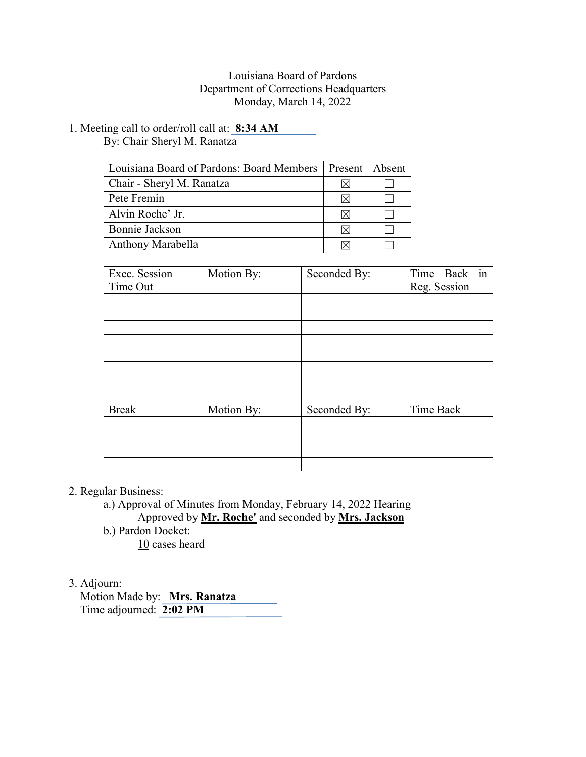## Louisiana Board of Pardons Department of Corrections Headquarters Monday, March 14, 2022

1. Meeting call to order/roll call at: **8:34 AM** By: Chair Sheryl M. Ranatza

| Louisiana Board of Pardons: Board Members |   | Present   Absent |
|-------------------------------------------|---|------------------|
| Chair - Sheryl M. Ranatza                 |   |                  |
| Pete Fremin                               |   |                  |
| Alvin Roche' Jr.                          | ⋉ |                  |
| Bonnie Jackson                            | ⋉ |                  |
| Anthony Marabella                         |   |                  |

| Exec. Session<br>Time Out | Motion By: | Seconded By: | in<br>Time Back<br>Reg. Session |  |
|---------------------------|------------|--------------|---------------------------------|--|
|                           |            |              |                                 |  |
|                           |            |              |                                 |  |
|                           |            |              |                                 |  |
|                           |            |              |                                 |  |
|                           |            |              |                                 |  |
|                           |            |              |                                 |  |
|                           |            |              |                                 |  |
|                           |            |              |                                 |  |
| <b>Break</b>              | Motion By: | Seconded By: | Time Back                       |  |
|                           |            |              |                                 |  |
|                           |            |              |                                 |  |
|                           |            |              |                                 |  |
|                           |            |              |                                 |  |

2. Regular Business:

a.) Approval of Minutes from Monday, February 14, 2022 Hearing Approved by **Mr. Roche'** and seconded by **Mrs. Jackson** b.) Pardon Docket:

10 cases heard

# 3. Adjourn:

 Motion Made by: **Mrs. Ranatza** Time adjourned: **2:02 PM**